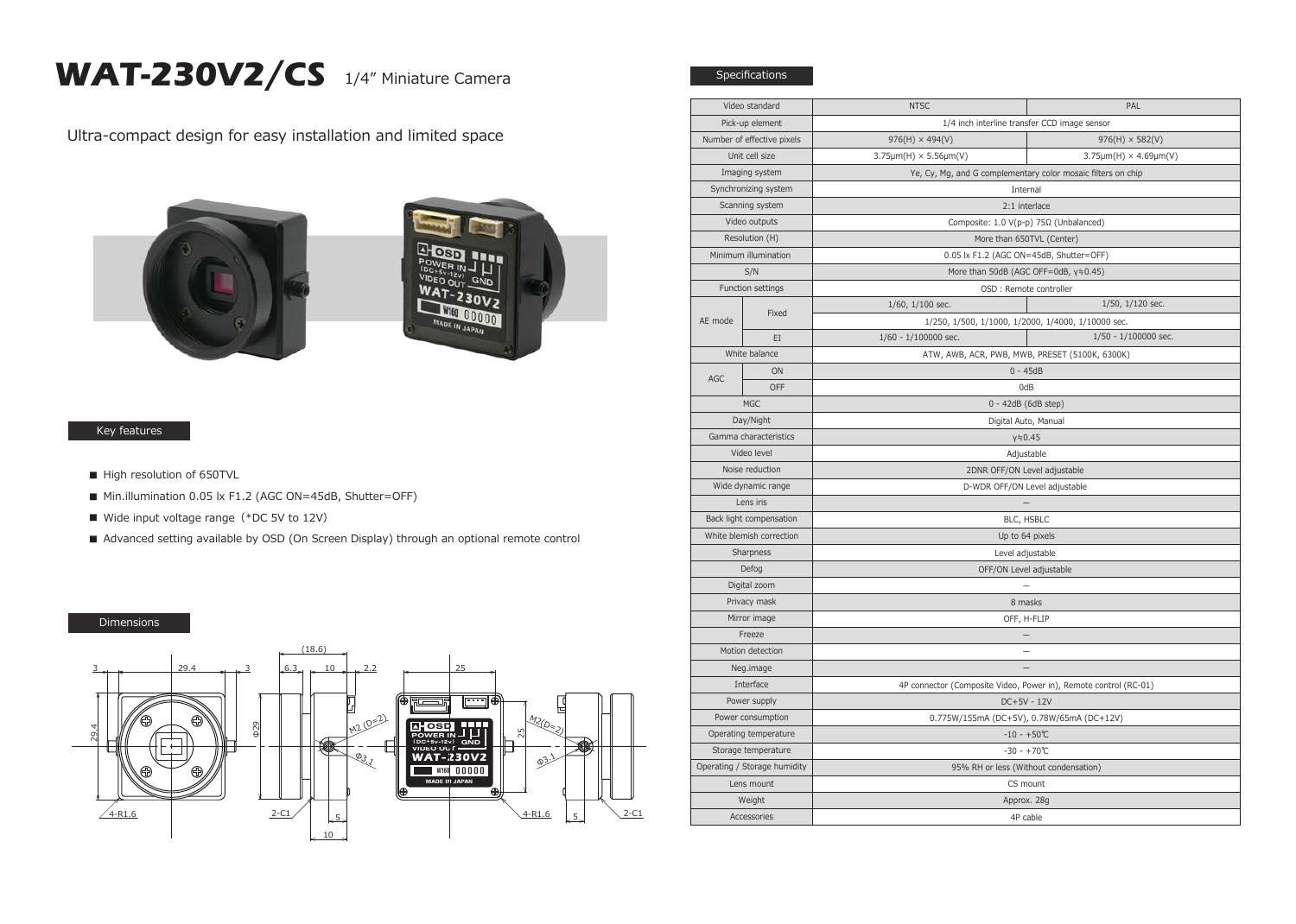## WAT-230V2/CS 1/4" Miniature Camera

Ultra-compact design for easy installation and limited space





## Key features

- High resolution of 650TVL
- Min.illumination 0.05 lx F1.2 (AGC ON=45dB, Shutter=OFF)
- Wide input voltage range (\*DC 5V to 12V)
- Advanced setting available by OSD (On Screen Display) through an optional remote control

## Dimensions



|                                            |       | PAL<br><b>NTSC</b>                                                           |  |
|--------------------------------------------|-------|------------------------------------------------------------------------------|--|
| Video standard<br>Pick-up element          |       | 1/4 inch interline transfer CCD image sensor                                 |  |
| Number of effective pixels                 |       | $976(H) \times 494(V)$<br>$976(H) \times 582(V)$                             |  |
| Unit cell size                             |       | $3.75 \mu m(H) \times 5.56 \mu m(V)$<br>$3.75 \mu m(H) \times 4.69 \mu m(V)$ |  |
| Imaging system                             |       | Ye, Cy, Mg, and G complementary color mosaic filters on chip                 |  |
| Synchronizing system                       |       | Internal                                                                     |  |
| Scanning system                            |       | 2:1 interlace                                                                |  |
| Video outputs                              |       | Composite: 1.0 V(p-p) 75Ω (Unbalanced)                                       |  |
| Resolution (H)                             |       | More than 650TVL (Center)                                                    |  |
| Minimum illumination                       |       | 0.05 lx F1.2 (AGC ON=45dB, Shutter=OFF)                                      |  |
| S/N                                        |       | More than 50dB (AGC OFF=0dB, y≒0.45)                                         |  |
| Function settings                          |       | OSD : Remote controller                                                      |  |
| AE mode                                    | Fixed | $1/50$ , $1/120$ sec.<br>$1/60$ , $1/100$ sec.                               |  |
|                                            |       | 1/250, 1/500, 1/1000, 1/2000, 1/4000, 1/10000 sec.                           |  |
|                                            | EI    | $1/60 - 1/100000$ sec.<br>$1/50 - 1/100000$ sec.                             |  |
| White balance                              |       | ATW, AWB, ACR, PWB, MWB, PRESET (5100K, 6300K)                               |  |
| AGC                                        | ON    | $0 - 45dB$                                                                   |  |
|                                            | OFF   | 0dB                                                                          |  |
| <b>MGC</b>                                 |       | 0 - 42dB (6dB step)                                                          |  |
| Day/Night                                  |       | Digital Auto, Manual                                                         |  |
| Gamma characteristics                      |       | $y = 0.45$                                                                   |  |
| Video level                                |       | Adjustable                                                                   |  |
| Noise reduction                            |       | 2DNR OFF/ON Level adjustable                                                 |  |
| Wide dynamic range                         |       | D-WDR OFF/ON Level adjustable                                                |  |
| Lens iris                                  |       | $\overline{\phantom{a}}$                                                     |  |
| Back light compensation                    |       | BLC, HSBLC                                                                   |  |
| White blemish correction                   |       | Up to 64 pixels                                                              |  |
| Sharpness                                  |       | Level adjustable                                                             |  |
| Defog                                      |       | OFF/ON Level adjustable                                                      |  |
| Digital zoom                               |       |                                                                              |  |
| Privacy mask                               |       | 8 masks                                                                      |  |
| Mirror image                               |       | OFF, H-FLIP                                                                  |  |
| Freeze                                     |       | $\overline{\phantom{m}}$                                                     |  |
| Motion detection                           |       | $\equiv$                                                                     |  |
| Neg.image                                  |       |                                                                              |  |
| Interface                                  |       | 4P connector (Composite Video, Power in), Remote control (RC-01)             |  |
| Power supply                               |       | DC+5V - 12V                                                                  |  |
| Power consumption                          |       | 0.775W/155mA (DC+5V), 0.78W/65mA (DC+12V)                                    |  |
| Operating temperature                      |       | $-10 - +50$ °C                                                               |  |
| Storage temperature                        |       | $-30 - +70$ °C                                                               |  |
| Operating / Storage humidity<br>Lens mount |       | 95% RH or less (Without condensation)                                        |  |
|                                            |       | CS mount                                                                     |  |
| Weight<br>Accessories                      |       | Approx. 28g                                                                  |  |
|                                            |       | 4P cable                                                                     |  |

Specifications